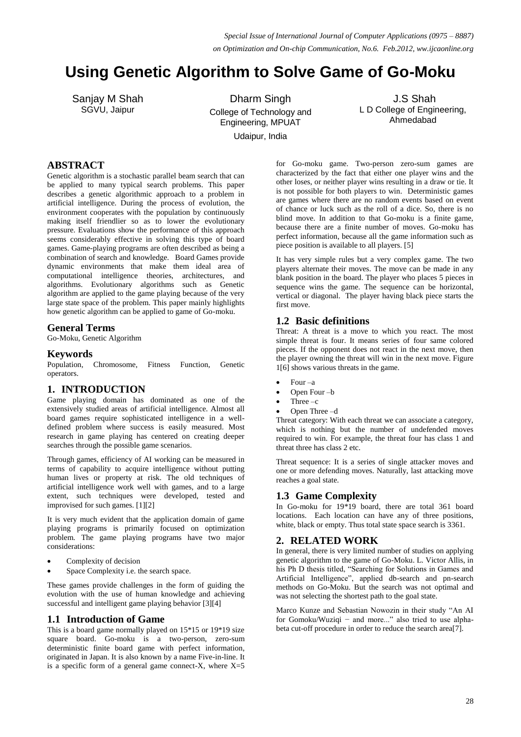# **Using Genetic Algorithm to Solve Game of Go-Moku**

Sanjay M Shah SGVU, Jaipur

Dharm Singh College of Technology and Engineering, MPUAT Udaipur, India

J.S Shah L D College of Engineering, Ahmedabad

# **ABSTRACT**

Genetic algorithm is a stochastic parallel beam search that can be applied to many typical search problems. This paper describes a genetic algorithmic approach to a problem in artificial intelligence. During the process of evolution, the environment cooperates with the population by continuously making itself friendlier so as to lower the evolutionary pressure. Evaluations show the performance of this approach seems considerably effective in solving this type of board games. Game-playing programs are often described as being a combination of search and knowledge. Board Games provide dynamic environments that make them ideal area of computational intelligence theories, architectures, and algorithms. Evolutionary algorithms such as Genetic algorithm are applied to the game playing because of the very large state space of the problem. This paper mainly highlights how genetic algorithm can be applied to game of Go-moku.

#### **General Terms**

Go-Moku, Genetic Algorithm

#### **Keywords**

Population, Chromosome, Fitness Function, Genetic operators.

## **1. INTRODUCTION**

Game playing domain has dominated as one of the extensively studied areas of artificial intelligence. Almost all board games require sophisticated intelligence in a welldefined problem where success is easily measured. Most research in game playing has centered on creating deeper searches through the possible game scenarios.

Through games, efficiency of AI working can be measured in terms of capability to acquire intelligence without putting human lives or property at risk. The old techniques of artificial intelligence work well with games, and to a large extent, such techniques were developed, tested and improvised for such games. [1][2]

It is very much evident that the application domain of game playing programs is primarily focused on optimization problem. The game playing programs have two major considerations:

- Complexity of decision
- Space Complexity i.e. the search space.

These games provide challenges in the form of guiding the evolution with the use of human knowledge and achieving successful and intelligent game playing behavior [3][4]

## **1.1 Introduction of Game**

This is a board game normally played on 15\*15 or 19\*19 size square board. Go-moku is a two-person, zero-sum deterministic finite board game with perfect information, originated in Japan. It is also known by a name Five-in-line. It is a specific form of a general game connect-X, where  $X=5$ 

for Go-moku game. Two-person zero-sum games are characterized by the fact that either one player wins and the other loses, or neither player wins resulting in a draw or tie. It is not possible for both players to win. Deterministic games are games where there are no random events based on event of chance or luck such as the roll of a dice. So, there is no blind move. In addition to that Go-moku is a finite game, because there are a finite number of moves. Go-moku has perfect information, because all the game information such as piece position is available to all players. [5]

It has very simple rules but a very complex game. The two players alternate their moves. The move can be made in any blank position in the board. The player who places 5 pieces in sequence wins the game. The sequence can be horizontal, vertical or diagonal. The player having black piece starts the first move.

#### **1.2 Basic definitions**

Threat: A threat is a move to which you react. The most simple threat is four. It means series of four same colored pieces. If the opponent does not react in the next move, then the player owning the threat will win in the next move. Figure 1[6] shows various threats in the game.

- Four –a
- Open Four –b
- Three –c
- Open Three –d

Threat category: With each threat we can associate a category, which is nothing but the number of undefended moves required to win. For example, the threat four has class 1 and threat three has class 2 etc.

Threat sequence: It is a series of single attacker moves and one or more defending moves. Naturally, last attacking move reaches a goal state.

## **1.3 Game Complexity**

In Go-moku for 19\*19 board, there are total 361 board locations. Each location can have any of three positions, white, black or empty. Thus total state space search is 3361.

# **2. RELATED WORK**

In general, there is very limited number of studies on applying genetic algorithm to the game of Go-Moku. L. Victor Allis, in his Ph D thesis titled, "Searching for Solutions in Games and Artificial Intelligence", applied db-search and pn-search methods on Go-Moku. But the search was not optimal and was not selecting the shortest path to the goal state.

Marco Kunze and Sebastian Nowozin in their study "An AI for Gomoku/Wuziqi − and more..." also tried to use alphabeta cut-off procedure in order to reduce the search area[7].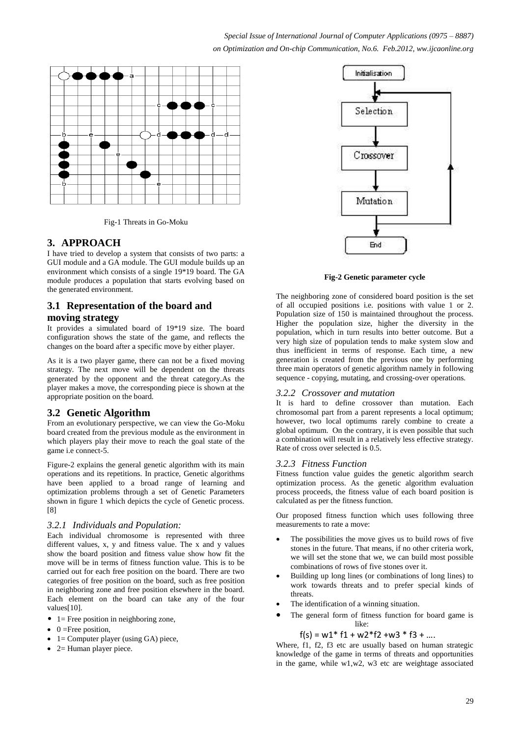*Special Issue of International Journal of Computer Applications (0975 – 8887) on Optimization and On-chip Communication, No.6. Feb.2012, ww.ijcaonline.org*



Fig-1 Threats in Go-Moku

## **3. APPROACH**

I have tried to develop a system that consists of two parts: a GUI module and a GA module. The GUI module builds up an environment which consists of a single 19\*19 board. The GA module produces a population that starts evolving based on the generated environment.

## **3.1 Representation of the board and moving strategy**

It provides a simulated board of 19\*19 size. The board configuration shows the state of the game, and reflects the changes on the board after a specific move by either player.

As it is a two player game, there can not be a fixed moving strategy. The next move will be dependent on the threats generated by the opponent and the threat category.As the player makes a move, the corresponding piece is shown at the appropriate position on the board.

## **3.2 Genetic Algorithm**

From an evolutionary perspective, we can view the Go-Moku board created from the previous module as the environment in which players play their move to reach the goal state of the game i.e connect-5.

Figure-2 explains the general genetic algorithm with its main operations and its repetitions. In practice, Genetic algorithms have been applied to a broad range of learning and optimization problems through a set of Genetic Parameters shown in figure 1 which depicts the cycle of Genetic process. [8]

#### *3.2.1 Individuals and Population:*

Each individual chromosome is represented with three different values, x, y and fitness value. The x and y values show the board position and fitness value show how fit the move will be in terms of fitness function value. This is to be carried out for each free position on the board. There are two categories of free position on the board, such as free position in neighboring zone and free position elsewhere in the board. Each element on the board can take any of the four values<sup>[10]</sup>.

- $\bullet$  1= Free position in neighboring zone,
- $\bullet$  0 = Free position,
- 1= Computer player (using GA) piece,
- 2= Human player piece.



**Fig-2 Genetic parameter cycle**

The neighboring zone of considered board position is the set of all occupied positions i.e. positions with value 1 or 2. Population size of 150 is maintained throughout the process. Higher the population size, higher the diversity in the population, which in turn results into better outcome. But a very high size of population tends to make system slow and thus inefficient in terms of response. Each time, a new generation is created from the previous one by performing three main operators of genetic algorithm namely in following sequence - copying, mutating, and crossing-over operations.

#### *3.2.2 Crossover and mutation*

It is hard to define crossover than mutation. Each chromosomal part from a parent represents a local optimum; however, two local optimums rarely combine to create a global optimum. On the contrary, it is even possible that such a combination will result in a relatively less effective strategy. Rate of cross over selected is 0.5.

#### *3.2.3 Fitness Function*

Fitness function value guides the genetic algorithm search optimization process. As the genetic algorithm evaluation process proceeds, the fitness value of each board position is calculated as per the fitness function.

Our proposed fitness function which uses following three measurements to rate a move:

- The possibilities the move gives us to build rows of five stones in the future. That means, if no other criteria work, we will set the stone that we, we can build most possible combinations of rows of five stones over it.
- Building up long lines (or combinations of long lines) to work towards threats and to prefer special kinds of threats.
- The identification of a winning situation.
- The general form of fitness function for board game is like:

$$
f(s) = w1 * f1 + w2 * f2 + w3 * f3 + ...
$$

Where, f1, f2, f3 etc are usually based on human strategic knowledge of the game in terms of threats and opportunities in the game, while  $w1,w2$ ,  $w3$  etc are weightage associated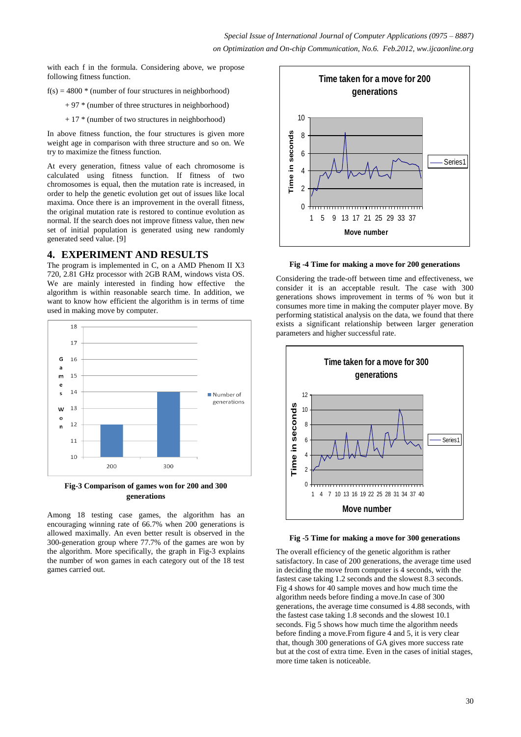with each f in the formula. Considering above, we propose following fitness function.

- $f(s) = 4800$  \* (number of four structures in neighborhood)
	- $+ 97$  \* (number of three structures in neighborhood)
	- + 17 \* (number of two structures in neighborhood)

In above fitness function, the four structures is given more weight age in comparison with three structure and so on. We try to maximize the fitness function.

At every generation, fitness value of each chromosome is calculated using fitness function. If fitness of two chromosomes is equal, then the mutation rate is increased, in order to help the genetic evolution get out of issues like local maxima. Once there is an improvement in the overall fitness, the original mutation rate is restored to continue evolution as normal. If the search does not improve fitness value, then new set of initial population is generated using new randomly generated seed value. [9]

#### **4. EXPERIMENT AND RESULTS**

The program is implemented in C, on a AMD Phenom II X3 720, 2.81 GHz processor with 2GB RAM, windows vista OS. We are mainly interested in finding how effective the algorithm is within reasonable search time. In addition, we want to know how efficient the algorithm is in terms of time used in making move by computer.



**Fig-3 Comparison of games won for 200 and 300 generations**

Among 18 testing case games, the algorithm has an encouraging winning rate of 66.7% when 200 generations is allowed maximally. An even better result is observed in the 300-generation group where 77.7% of the games are won by the algorithm. More specifically, the graph in Fig-3 explains the number of won games in each category out of the 18 test games carried out.



**Fig -4 Time for making a move for 200 generations**

Considering the trade-off between time and effectiveness, we consider it is an acceptable result. The case with 300 generations shows improvement in terms of % won but it consumes more time in making the computer player move. By performing statistical analysis on the data, we found that there exists a significant relationship between larger generation parameters and higher successful rate.





The overall efficiency of the genetic algorithm is rather satisfactory. In case of 200 generations, the average time used in deciding the move from computer is 4 seconds, with the fastest case taking 1.2 seconds and the slowest 8.3 seconds. Fig 4 shows for 40 sample moves and how much time the algorithm needs before finding a move.In case of 300 generations, the average time consumed is 4.88 seconds, with the fastest case taking 1.8 seconds and the slowest 10.1 seconds. Fig 5 shows how much time the algorithm needs before finding a move.From figure 4 and 5, it is very clear that, though 300 generations of GA gives more success rate but at the cost of extra time. Even in the cases of initial stages, more time taken is noticeable.